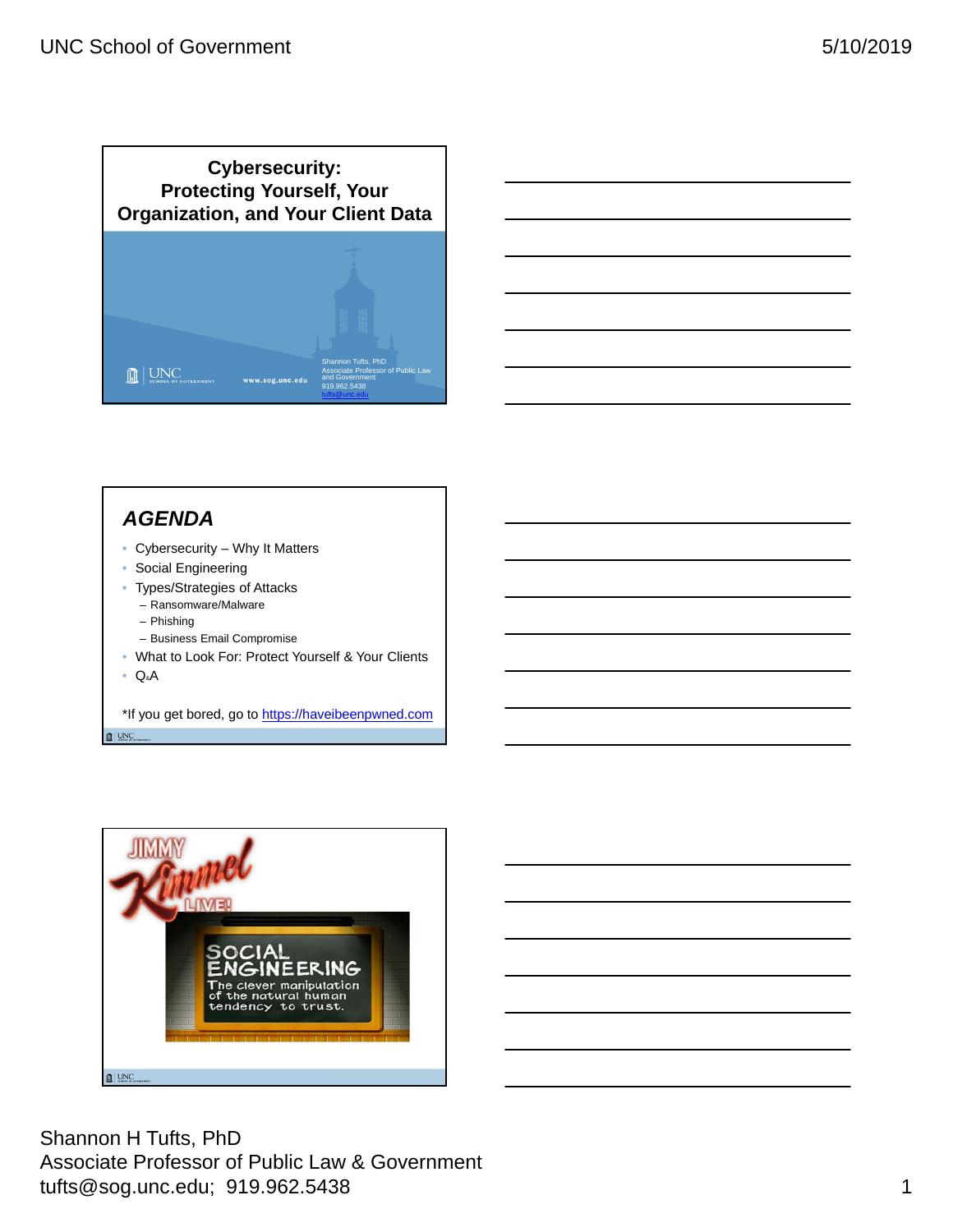



# *AGENDA*

- Cybersecurity Why It Matters
- Social Engineering
- Types/Strategies of Attacks – Ransomware/Malware
	- Phishing
	- Business Email Compromise
- What to Look For: Protect Yourself & Your Clients

• Q&A

\*If you get bored, go to https://haveibeenpwned.com  $\mathbb{I}$  UNC



Shannon H Tufts, PhD Associate Professor of Public Law & Government tufts@sog.unc.edu; 919.962.5438 1 and the control of the control of the control of the control of the control o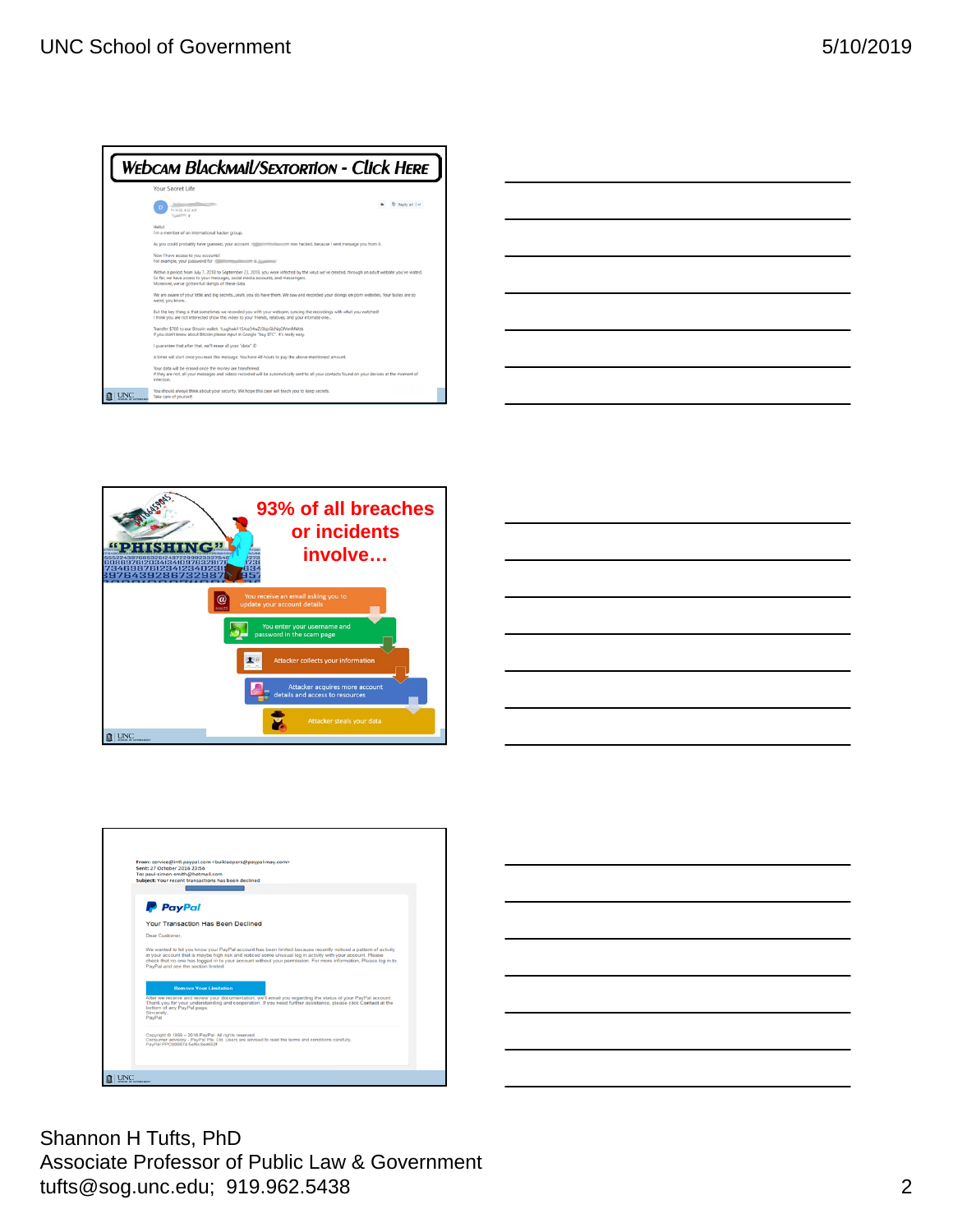

| _____ |      |
|-------|------|
|       |      |
|       | ____ |
|       |      |
|       |      |
|       |      |
|       |      |
|       |      |







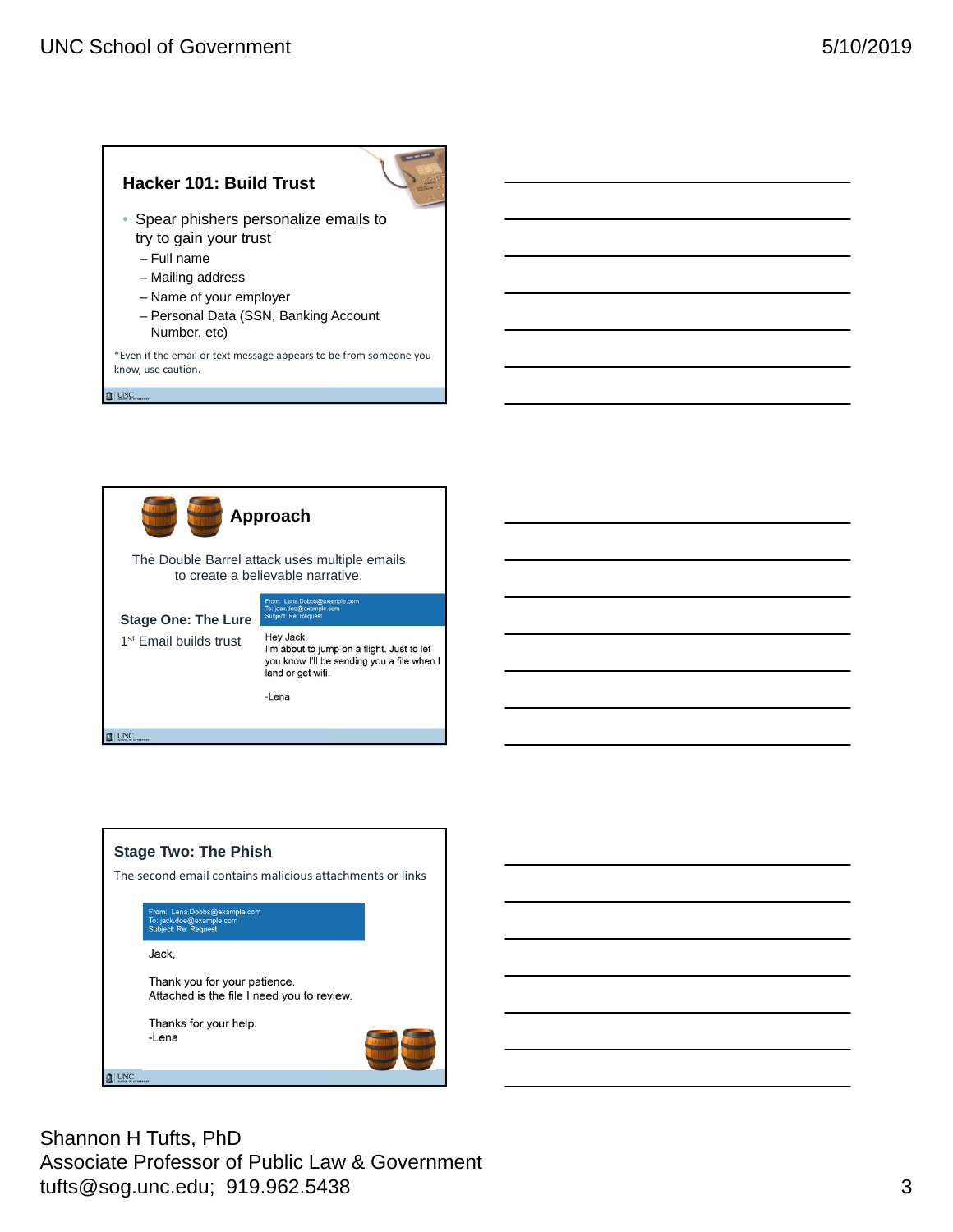



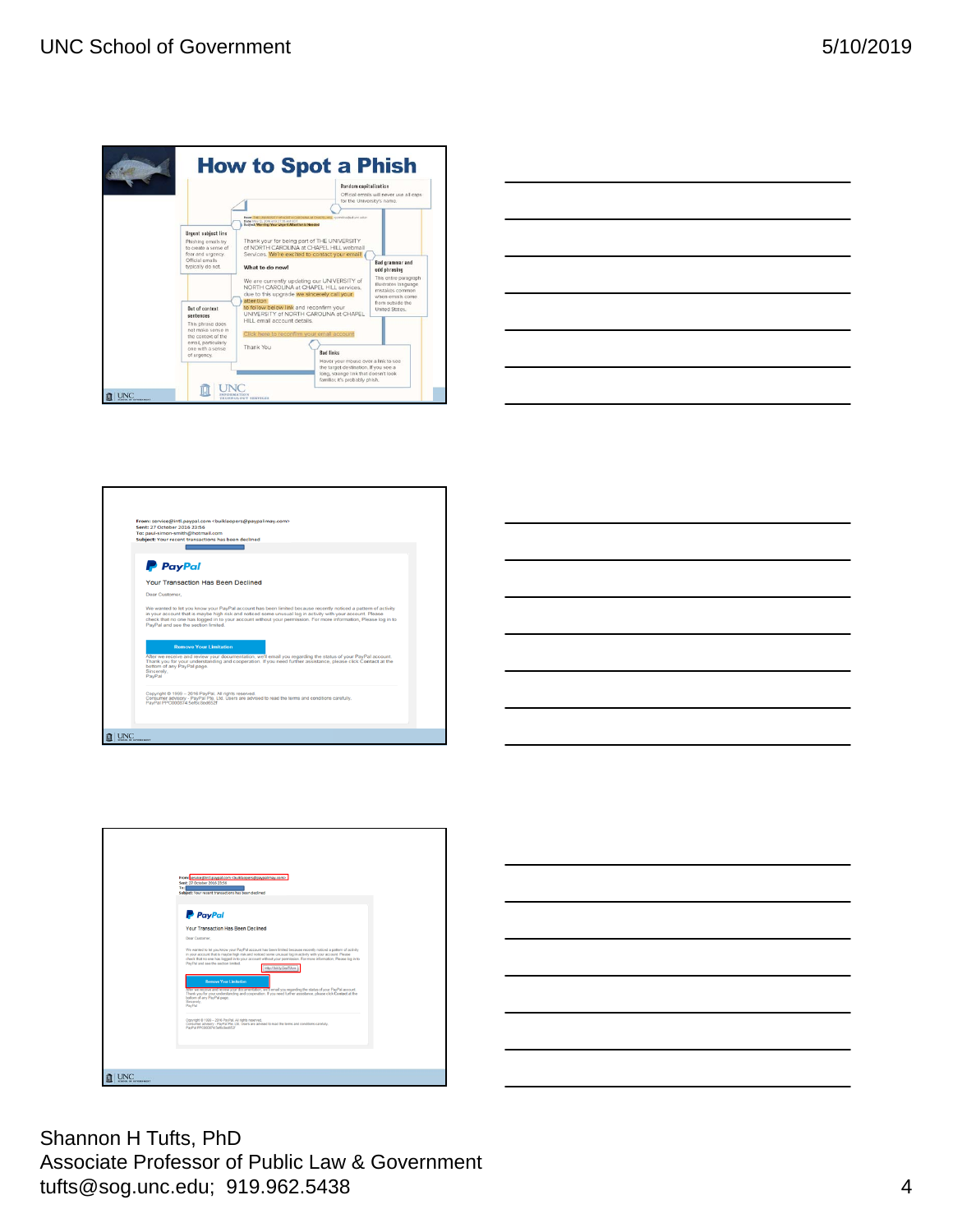







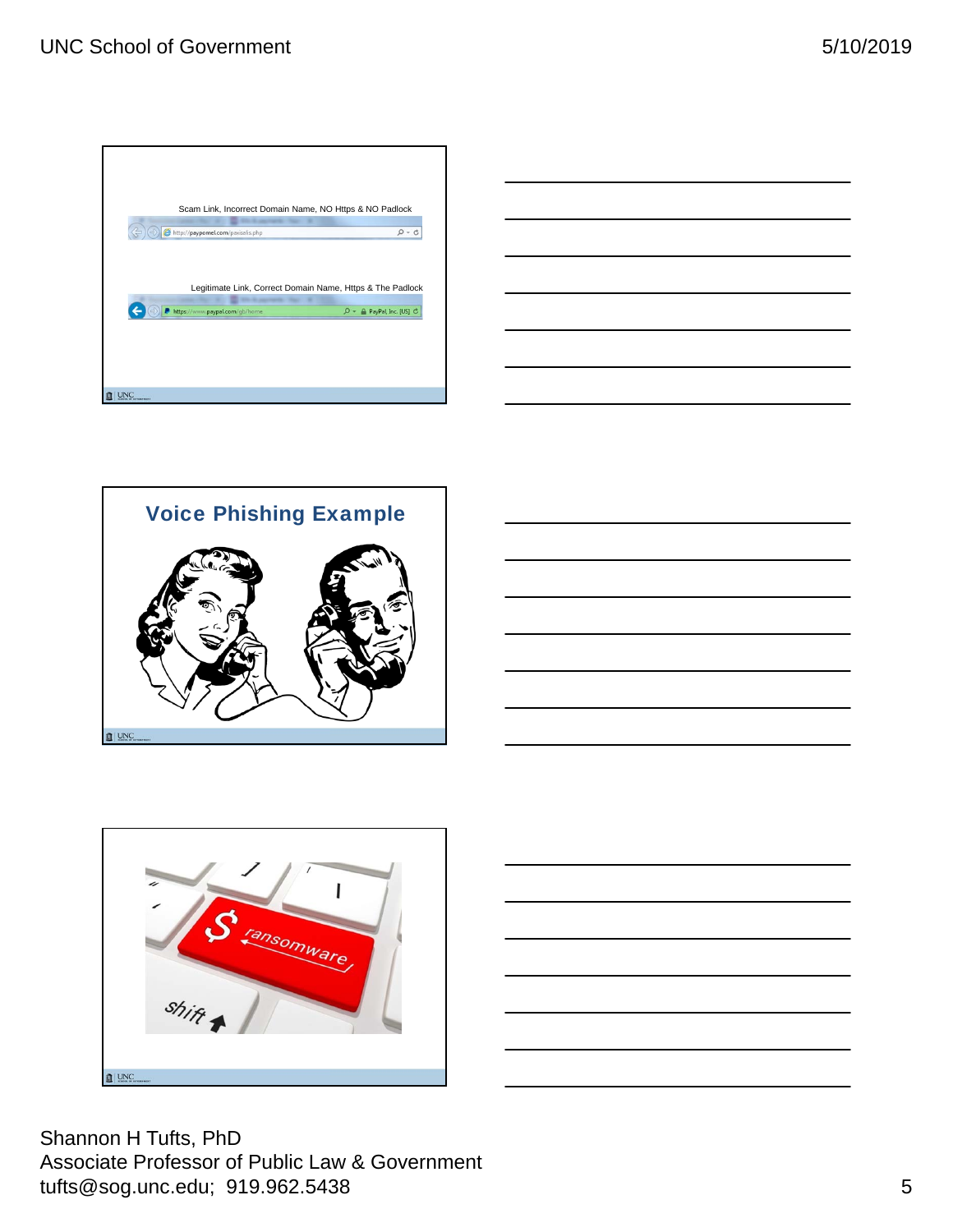





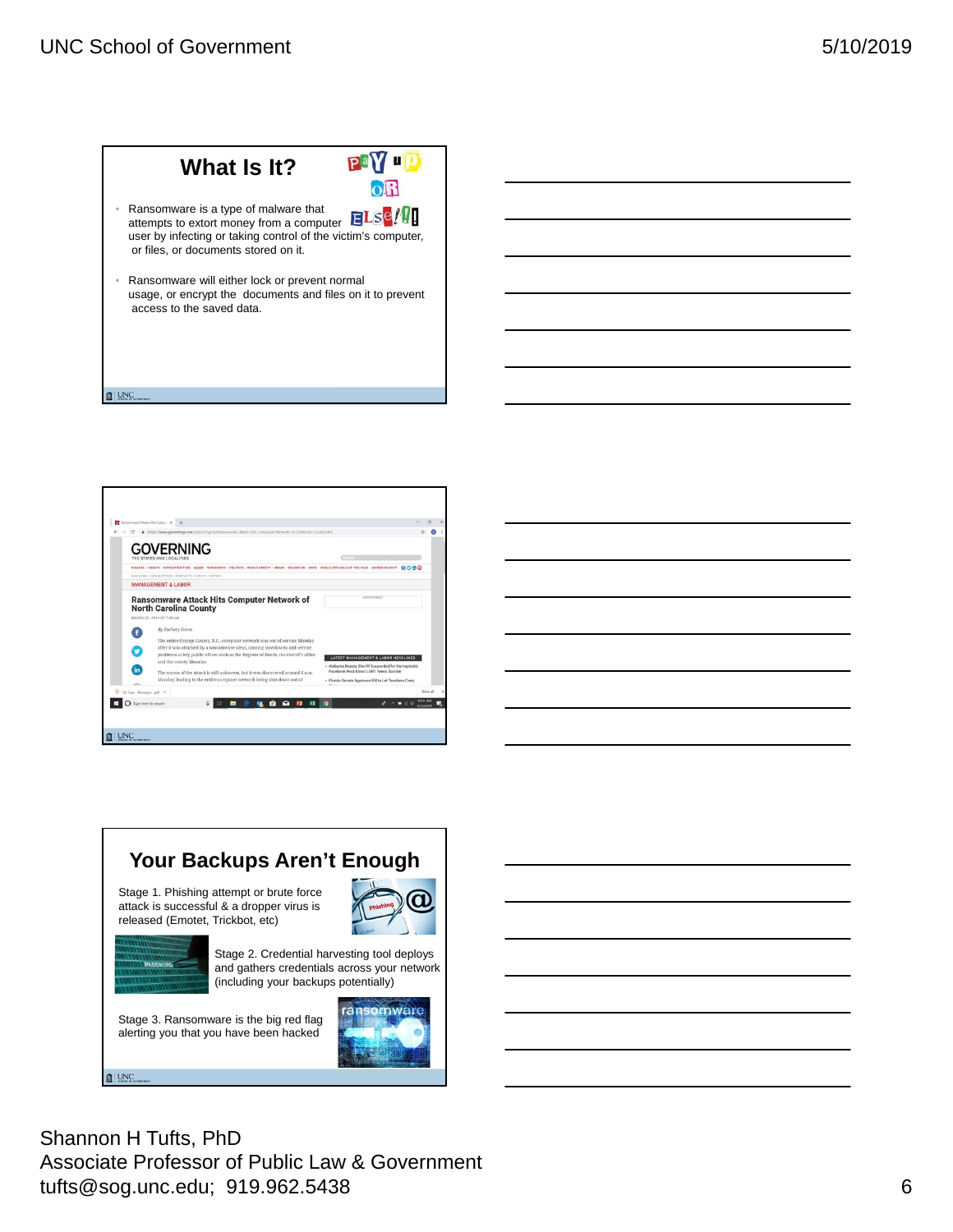#### UNC School of Government 5/10/2019





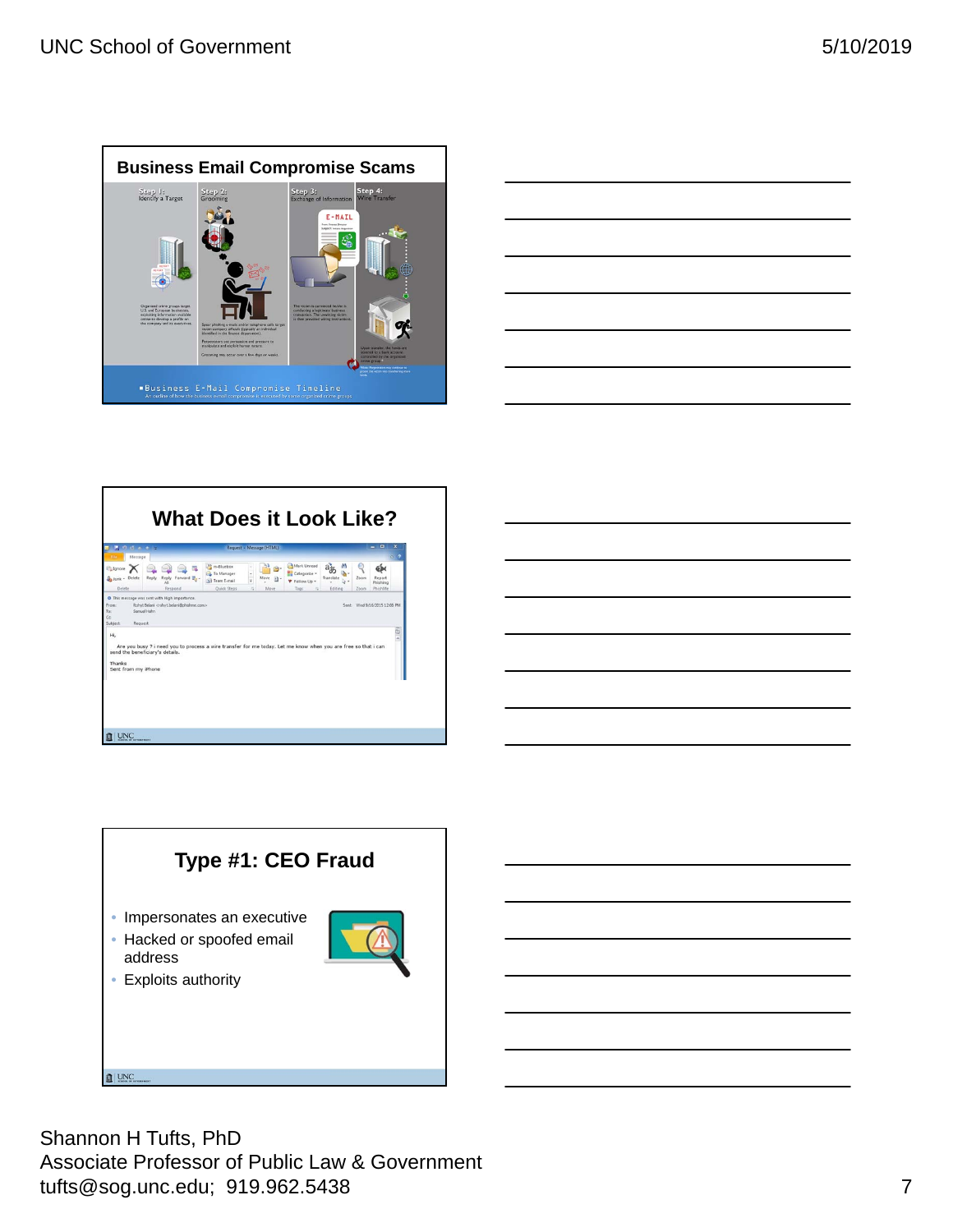

|                                                             | ___ |
|-------------------------------------------------------------|-----|
|                                                             |     |
|                                                             |     |
|                                                             |     |
|                                                             |     |
|                                                             |     |
|                                                             |     |
|                                                             |     |
|                                                             |     |
|                                                             |     |
| <u> 1989 - Johann Stoff, amerikansk politiker (d. 1989)</u> |     |



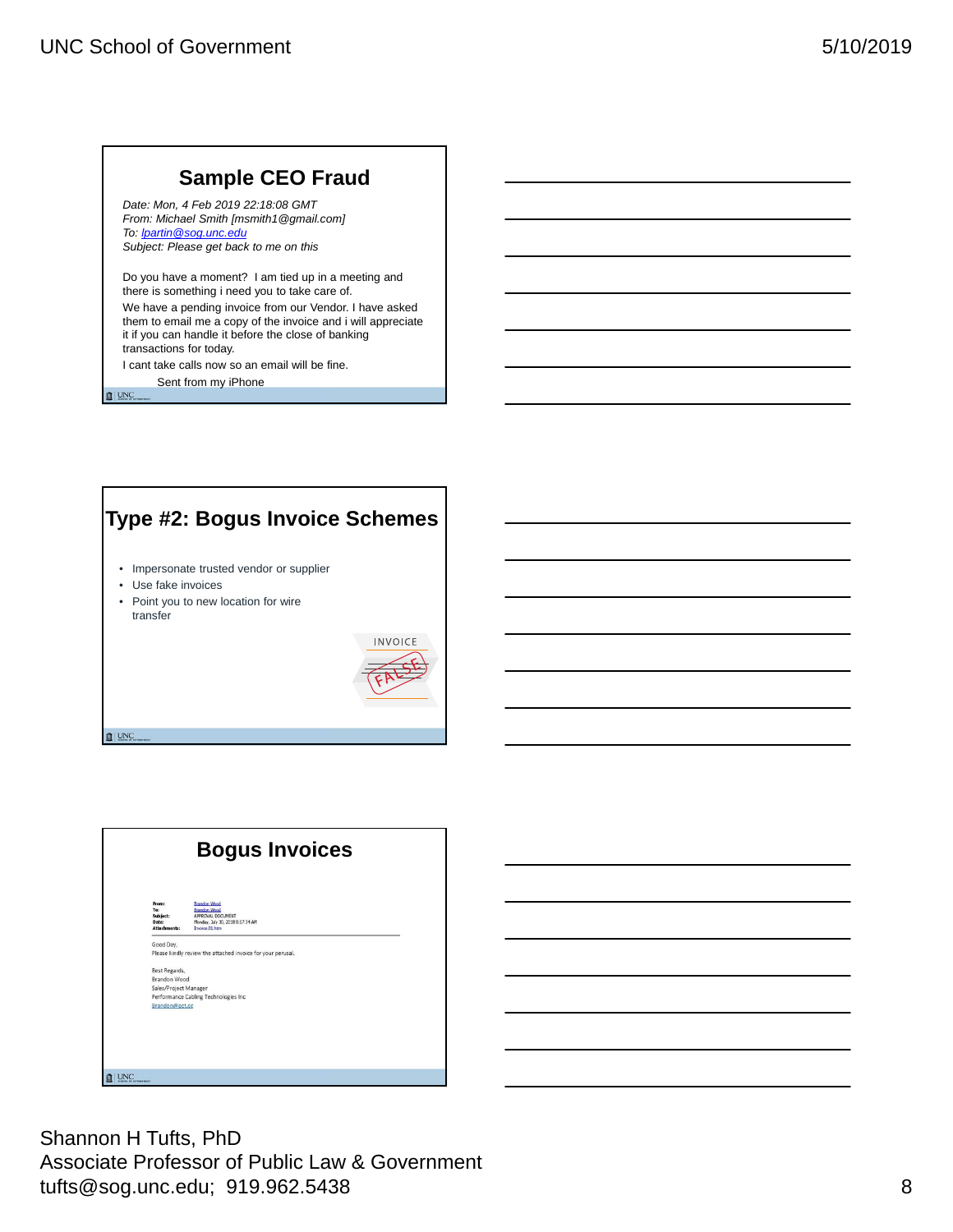# **Sample CEO Fraud**

*Date: Mon, 4 Feb 2019 22:18:08 GMT From: Michael Smith [msmith1@gmail.com] To: lpartin@sog.unc.edu Subject: Please get back to me on this*

Do you have a moment? I am tied up in a meeting and there is something i need you to take care of. We have a pending invoice from our Vendor. I have asked them to email me a copy of the invoice and i will appreciate it if you can handle it before the close of banking transactions for today.

I cant take calls now so an email will be fine. Sent from my iPhone

 $\mathbf{I}$  | UNC

 $\mathbb{I}$  UNC

# **Type #2: Bogus Invoice Schemes** • Impersonate trusted vendor or supplier • Use fake invoices • Point you to new location for wire transfer **INVOICE**

| <b>Bogus Invoices</b>                             |                                                                                                                       |
|---------------------------------------------------|-----------------------------------------------------------------------------------------------------------------------|
| From:<br>To:<br>Subject:<br>Date:<br>Attachments: | <b>Brandon Wood</b><br><b>Brandon Wood</b><br>APPROVAL DOCUMENT<br>Monday, July 30, 2018 8:17:34 AM<br>Invoice 01 htm |
| Good Day,                                         |                                                                                                                       |
|                                                   | Please kindly review the attached invoice for your perusal.                                                           |
| Best Regards.                                     |                                                                                                                       |
| Brandon Wood                                      |                                                                                                                       |
| Sales/Project Manager                             |                                                                                                                       |
|                                                   | Performance Cabling Technologies Inc.                                                                                 |
| Brandon@pct.cc                                    |                                                                                                                       |
|                                                   |                                                                                                                       |
|                                                   |                                                                                                                       |
|                                                   |                                                                                                                       |
|                                                   |                                                                                                                       |
| <b>UNC</b><br><b>GENERAWENT</b>                   |                                                                                                                       |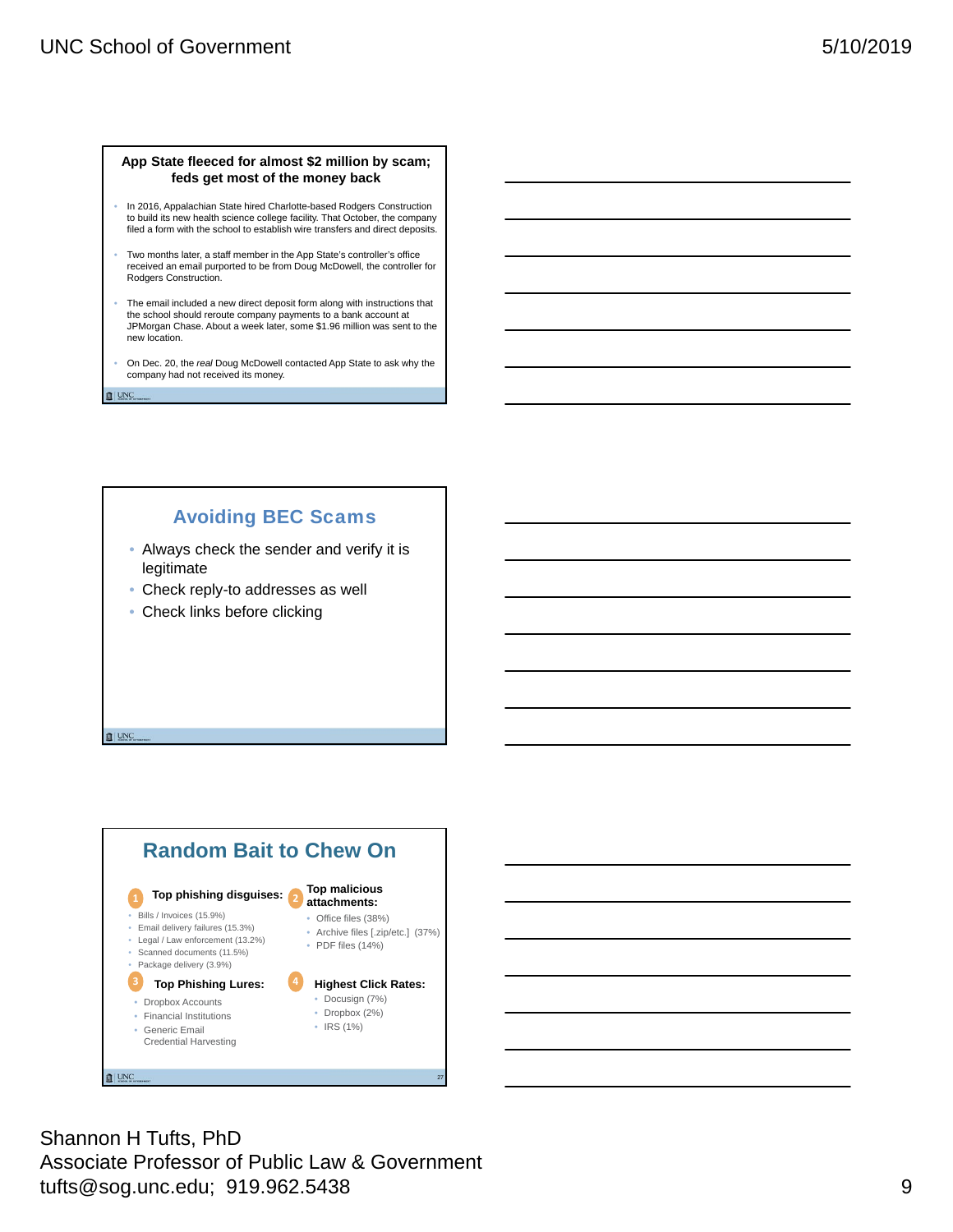#### **App State fleeced for almost \$2 million by scam; feds get most of the money back**

- In 2016, Appalachian State hired Charlotte-based Rodgers Construction to build its new health science college facility. That October, the company filed a form with the school to establish wire transfers and direct deposits.
- Two months later, a staff member in the App State's controller's office received an email purported to be from Doug McDowell, the controller for Rodgers Construction.
- The email included a new direct deposit form along with instructions that the school should reroute company payments to a bank account at JPMorgan Chase. About a week later, some \$1.96 million was sent to the new location.
- On Dec. 20, the *real* Doug McDowell contacted App State to ask why the company had not received its money.

**■ UNC** 

 $\mathbb{I}$  UNC

### Avoiding BEC Scams

- Always check the sender and verify it is legitimate
- Check reply-to addresses as well
- Check links before clicking